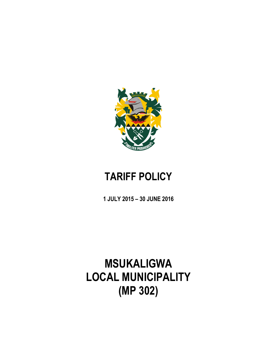

## **TARIFF POLICY**

**1 JULY 2015 – 30 JUNE 2016**

# **MSUKALIGWA LOCAL MUNICIPALITY (MP 302)**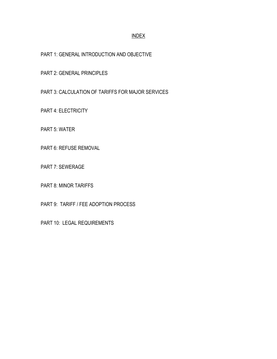## INDEX

PART 1: GENERAL INTRODUCTION AND OBJECTIVE

PART 2: GENERAL PRINCIPLES

PART 3: CALCULATION OF TARIFFS FOR MAJOR SERVICES

PART 4: ELECTRICITY

PART 5: WATER

PART 6: REFUSE REMOVAL

PART 7: SEWERAGE

PART 8: MINOR TARIFFS

PART 9: TARIFF / FEE ADOPTION PROCESS

PART 10: LEGAL REQUIREMENTS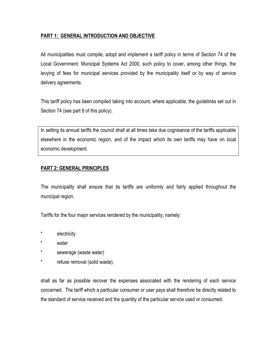## **PART 1: GENERAL INTRODUCTION AND OBJECTIVE**

All municipalities must compile, adopt and implement a tariff policy in terms of Section 74 of the Local Government: Municipal Systems Act 2000, such policy to cover, among other things, the levying of fees for municipal services provided by the municipality itself or by way of service delivery agreements.

This tariff policy has been compiled taking into account, where applicable, the guidelines set out in Section 74 (see part 9 of this policy).

In setting its annual tariffs the council shall at all times take due cognisance of the tariffs applicable elsewhere in the economic region, and of the impact which its own tariffs may have on local economic development.

## **PART 2: GENERAL PRINCIPLES**

The municipality shall ensure that its tariffs are uniformly and fairly applied throughout the municipal region.

Tariffs for the four major services rendered by the municipality, namely:

- \* electricity
- \* water
- \* sewerage (waste water)
- \* refuse removal (solid waste),

shall as far as possible recover the expenses associated with the rendering of each service concerned. The tariff which a particular consumer or user pays shall therefore be directly related to the standard of service received and the quantity of the particular service used or consumed.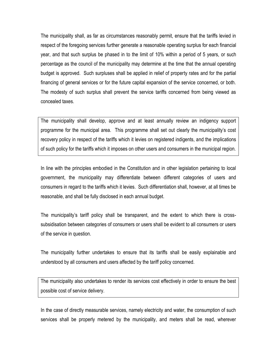The municipality shall, as far as circumstances reasonably permit, ensure that the tariffs levied in respect of the foregoing services further generate a reasonable operating surplus for each financial year, and that such surplus be phased in to the limit of 10% within a period of 5 years, or such percentage as the council of the municipality may determine at the time that the annual operating budget is approved. Such surpluses shall be applied in relief of property rates and for the partial financing of general services or for the future capital expansion of the service concerned, or both. The modesty of such surplus shall prevent the service tariffs concerned from being viewed as concealed taxes.

The municipality shall develop, approve and at least annually review an indigency support programme for the municipal area. This programme shall set out clearly the municipality's cost recovery policy in respect of the tariffs which it levies on registered indigents, and the implications of such policy for the tariffs which it imposes on other users and consumers in the municipal region.

In line with the principles embodied in the Constitution and in other legislation pertaining to local government, the municipality may differentiate between different categories of users and consumers in regard to the tariffs which it levies. Such differentiation shall, however, at all times be reasonable, and shall be fully disclosed in each annual budget.

The municipality's tariff policy shall be transparent, and the extent to which there is crosssubsidisation between categories of consumers or users shall be evident to all consumers or users of the service in question.

The municipality further undertakes to ensure that its tariffs shall be easily explainable and understood by all consumers and users affected by the tariff policy concerned.

The municipality also undertakes to render its services cost effectively in order to ensure the best possible cost of service delivery.

In the case of directly measurable services, namely electricity and water, the consumption of such services shall be properly metered by the municipality, and meters shall be read, wherever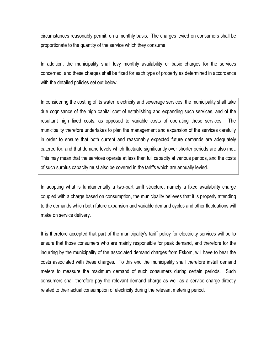circumstances reasonably permit, on a monthly basis. The charges levied on consumers shall be proportionate to the quantity of the service which they consume.

In addition, the municipality shall levy monthly availability or basic charges for the services concerned, and these charges shall be fixed for each type of property as determined in accordance with the detailed policies set out below.

In considering the costing of its water, electricity and sewerage services, the municipality shall take due cognisance of the high capital cost of establishing and expanding such services, and of the resultant high fixed costs, as opposed to variable costs of operating these services. The municipality therefore undertakes to plan the management and expansion of the services carefully in order to ensure that both current and reasonably expected future demands are adequately catered for, and that demand levels which fluctuate significantly over shorter periods are also met. This may mean that the services operate at less than full capacity at various periods, and the costs of such surplus capacity must also be covered in the tariffs which are annually levied.

In adopting what is fundamentally a two-part tariff structure, namely a fixed availability charge coupled with a charge based on consumption, the municipality believes that it is properly attending to the demands which both future expansion and variable demand cycles and other fluctuations will make on service delivery.

It is therefore accepted that part of the municipality's tariff policy for electricity services will be to ensure that those consumers who are mainly responsible for peak demand, and therefore for the incurring by the municipality of the associated demand charges from Eskom, will have to bear the costs associated with these charges. To this end the municipality shall therefore install demand meters to measure the maximum demand of such consumers during certain periods. Such consumers shall therefore pay the relevant demand charge as well as a service charge directly related to their actual consumption of electricity during the relevant metering period.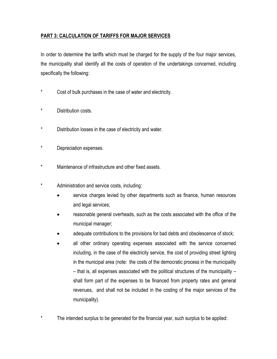## **PART 3: CALCULATION OF TARIFFS FOR MAJOR SERVICES**

In order to determine the tariffs which must be charged for the supply of the four major services, the municipality shall identify all the costs of operation of the undertakings concerned, including specifically the following:

- \* Cost of bulk purchases in the case of water and electricity.
- \* Distribution costs.
- \* Distribution losses in the case of electricity and water.
- \* Depreciation expenses.
- \* Maintenance of infrastructure and other fixed assets.
- Administration and service costs, including:
	- service charges levied by other departments such as finance, human resources and legal services;
	- reasonable general overheads, such as the costs associated with the office of the municipal manager;
	- adequate contributions to the provisions for bad debts and obsolescence of stock;
	- all other ordinary operating expenses associated with the service concerned including, in the case of the electricity service, the cost of providing street lighting in the municipal area (note: the costs of the democratic process in the municipality – that is, all expenses associated with the political structures of the municipality – shall form part of the expenses to be financed from property rates and general revenues, and shall not be included in the costing of the major services of the municipality).
- The intended surplus to be generated for the financial year, such surplus to be applied: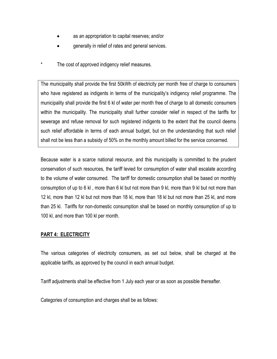- as an appropriation to capital reserves; and/or
- generally in relief of rates and general services.
- The cost of approved indigency relief measures.

The municipality shall provide the first 50kWh of electricity per month free of charge to consumers who have registered as indigents in terms of the municipality's indigency relief programme. The municipality shall provide the first 6 kl of water per month free of charge to all domestic consumers within the municipality. The municipality shall further consider relief in respect of the tariffs for sewerage and refuse removal for such registered indigents to the extent that the council deems such relief affordable in terms of each annual budget, but on the understanding that such relief shall not be less than a subsidy of 50% on the monthly amount billed for the service concerned.

Because water is a scarce national resource, and this municipality is committed to the prudent conservation of such resources, the tariff levied for consumption of water shall escalate according to the volume of water consumed. The tariff for domestic consumption shall be based on monthly consumption of up to 6 kl , more than 6 kl but not more than 9 kl, more than 9 kl but not more than 12 kl, more than 12 kl but not more than 18 kl, more than 18 kl but not more than 25 kl, and more than 25 kl. Tariffs for non-domestic consumption shall be based on monthly consumption of up to 100 kl, and more than 100 kl per month.

## **PART 4: ELECTRICITY**

The various categories of electricity consumers, as set out below, shall be charged at the applicable tariffs, as approved by the council in each annual budget.

Tariff adjustments shall be effective from 1 July each year or as soon as possible thereafter.

Categories of consumption and charges shall be as follows: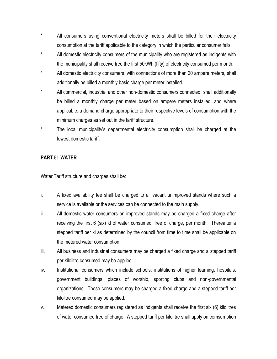- \* All consumers using conventional electricity meters shall be billed for their electricity consumption at the tariff applicable to the category in which the particular consumer falls.
- \* All domestic electricity consumers of the municipality who are registered as indigents with the municipality shall receive free the first 50kWh (fifty) of electricity consumed per month.
- \* All domestic electricity consumers, with connections of more than 20 ampere meters, shall additionally be billed a monthly basic charge per meter installed.
- \* All commercial, industrial and other non-domestic consumers connected shall additionally be billed a monthly charge per meter based on ampere meters installed, and where applicable, a demand charge appropriate to their respective levels of consumption with the minimum charges as set out in the tariff structure.
- \* The local municipality's departmental electricity consumption shall be charged at the lowest domestic tariff.

## **PART 5: WATER**

Water Tariff structure and charges shall be:

- i. A fixed availability fee shall be charged to all vacant unimproved stands where such a service is available or the services can be connected to the main supply.
- ii. All domestic water consumers on improved stands may be charged a fixed charge after receiving the first 6 (six) kl of water consumed, free of charge, per month. Thereafter a stepped tariff per kl as determined by the council from time to time shall be applicable on the metered water consumption.
- iii. All business and industrial consumers may be charged a fixed charge and a stepped tariff per kilolitre consumed may be applied.
- iv. Institutional consumers which include schools, institutions of higher learning, hospitals, government buildings, places of worship, sporting clubs and non-governmental organizations. These consumers may be charged a fixed charge and a stepped tariff per kilolitre consumed may be applied.
- v. Metered domestic consumers registered as indigents shall receive the first six (6) kilolitres of water consumed free of charge. A stepped tariff per kilolitre shall apply on comsumption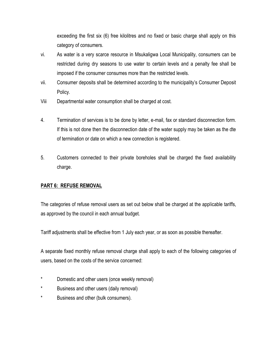exceeding the first six (6) free kilolitres and no fixed or basic charge shall apply on this category of consumers.

- vi. As water is a very scarce resource in Msukaligwa Local Municipality, consumers can be restricted during dry seasons to use water to certain levels and a penalty fee shall be imposed if the consumer consumes more than the restricted levels.
- vii. Consumer deposits shall be determined according to the municipality's Consumer Deposit Policy.
- Viii Departmental water consumption shall be charged at cost.
- 4. Termination of services is to be done by letter, e-mail, fax or standard disconnection form. If this is not done then the disconnection date of the water supply may be taken as the dte of termination or date on which a new connection is registered.
- 5. Customers connected to their private boreholes shall be charged the fixed availability charge.

## **PART 6: REFUSE REMOVAL**

The categories of refuse removal users as set out below shall be charged at the applicable tariffs, as approved by the council in each annual budget.

Tariff adjustments shall be effective from 1 July each year, or as soon as possible thereafter.

A separate fixed monthly refuse removal charge shall apply to each of the following categories of users, based on the costs of the service concerned:

- \* Domestic and other users (once weekly removal)
- \* Business and other users (daily removal)
- \* Business and other (bulk consumers).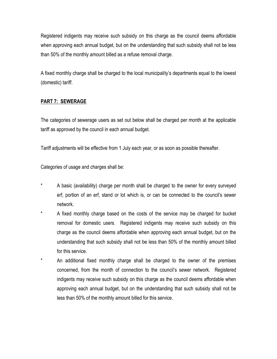Registered indigents may receive such subsidy on this charge as the council deems affordable when approving each annual budget, but on the understanding that such subsidy shall not be less than 50% of the monthly amount billed as a refuse removal charge.

A fixed monthly charge shall be charged to the local municipality's departments equal to the lowest (domestic) tariff.

## **PART 7: SEWERAGE**

The categories of sewerage users as set out below shall be charged per month at the applicable tariff as approved by the council in each annual budget.

Tariff adjustments will be effective from 1 July each year, or as soon as possible thereafter.

Categories of usage and charges shall be:

- A basic (availability) charge per month shall be charged to the owner for every surveyed erf, portion of an erf, stand or lot which is, or can be connected to the council's sewer network.
- \* A fixed monthly charge based on the costs of the service may be charged for bucket removal for domestic users. Registered indigents may receive such subsidy on this charge as the council deems affordable when approving each annual budget, but on the understanding that such subsidy shall not be less than 50% of the monthly amount billed for this service.
- \* An additional fixed monthly charge shall be charged to the owner of the premises concerned, from the month of connection to the council's sewer network. Registered indigents may receive such subsidy on this charge as the council deems affordable when approving each annual budget, but on the understanding that such subsidy shall not be less than 50% of the monthly amount billed for this service.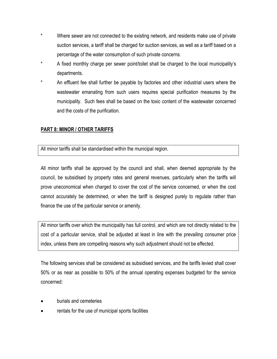- \* Where sewer are not connected to the existing network, and residents make use of private suction services, a tariff shall be charged for suction services, as well as a tariff based on a percentage of the water consumption of such private concerns.
- A fixed monthly charge per sewer point/toilet shall be charged to the local municipality's departments.
- An effluent fee shall further be payable by factories and other industrial users where the wastewater emanating from such users requires special purification measures by the municipality. Such fees shall be based on the toxic content of the wastewater concerned and the costs of the purification.

## **PART 8: MINOR / OTHER TARIFFS**

All minor tariffs shall be standardised within the municipal region.

All minor tariffs shall be approved by the council and shall, when deemed appropriate by the council, be subsidised by property rates and general revenues, particularly when the tariffs will prove uneconomical when charged to cover the cost of the service concerned, or when the cost cannot accurately be determined, or when the tariff is designed purely to regulate rather than finance the use of the particular service or amenity.

All minor tariffs over which the municipality has full control, and which are not directly related to the cost of a particular service, shall be adjusted at least in line with the prevailing consumer price index, unless there are compelling reasons why such adjustment should not be effected.

The following services shall be considered as subsidised services, and the tariffs levied shall cover 50% or as near as possible to 50% of the annual operating expenses budgeted for the service concerned:

- burials and cemeteries
- rentals for the use of municipal sports facilities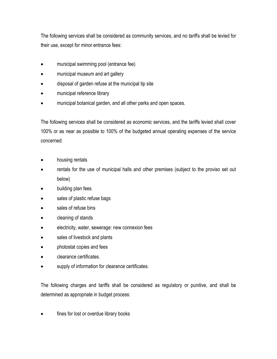The following services shall be considered as community services, and no tariffs shall be levied for their use, except for minor entrance fees:

- municipal swimming pool (entrance fee)
- municipal museum and art gallery
- disposal of garden refuse at the municipal tip site
- municipal reference library
- municipal botanical garden, and all other parks and open spaces.

The following services shall be considered as economic services, and the tariffs levied shall cover 100% or as near as possible to 100% of the budgeted annual operating expenses of the service concerned:

- housing rentals
- rentals for the use of municipal halls and other premises (subject to the proviso set out below)
- building plan fees
- sales of plastic refuse bags
- sales of refuse bins
- cleaning of stands
- electricity, water, sewerage: new connexion fees
- sales of livestock and plants
- photostat copies and fees
- clearance certificates.
- supply of information for clearance certificates.

The following charges and tariffs shall be considered as regulatory or punitive, and shall be determined as appropriate in budget process:

fines for lost or overdue library books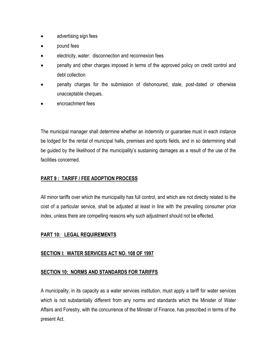- advertising sign fees
- pound fees
- electricity, water: disconnection and reconnexion fees
- penalty and other charges imposed in terms of the approved policy on credit control and debt collection
- penalty charges for the submission of dishonoured, stale, post-dated or otherwise unacceptable cheques.
- encroachment fees

The municipal manager shall determine whether an indemnity or guarantee must in each instance be lodged for the rental of municipal halls, premises and sports fields, and in so determining shall be guided by the likelihood of the municipality's sustaining damages as a result of the use of the facilities concerned.

## **PART 9 : TARIFF / FEE ADOPTION PROCESS**

All minor tariffs over which the municipality has full control, and which are not directly related to the cost of a particular service, shall be adjusted at least in line with the prevailing consumer price index, unless there are compelling reasons why such adjustment should not be effected.

## **PART 10: LEGAL REQUIREMENTS**

## **SECTION I: WATER SERVICES ACT NO. 108 OF 1997**

## **SECTION 10: NORMS AND STANDARDS FOR TARIFFS**

A municipality, in its capacity as a water services institution, must apply a tariff for water services which is not substantially different from any norms and standards which the Minister of Water Affairs and Forestry, with the concurrence of the Minister of Finance, has prescribed in terms of the present Act.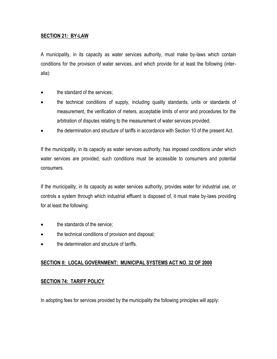## **SECTION 21: BY-LAW**

A municipality, in its capacity as water services authority, must make by-laws which contain conditions for the provision of water services, and which provide for at least the following (interalia):

- the standard of the services;
- the technical conditions of supply, including quality standards, units or standards of measurement, the verification of meters, acceptable limits of error and procedures for the arbitration of disputes relating to the measurement of water services provided;
- the determination and structure of tariffs in accordance with Section 10 of the present Act.

If the municipality, in its capacity as water services authority, has imposed conditions under which water services are provided, such conditions must be accessible to consumers and potential consumers.

If the municipality, in its capacity as water services authority, provides water for industrial use, or controls a system through which industrial effluent is disposed of, it must make by-laws providing for at least the following:

- the standards of the service;
- the technical conditions of provision and disposal;
- **the determination and structure of tariffs.**

## **SECTION II: LOCAL GOVERNMENT: MUNICIPAL SYSTEMS ACT NO. 32 OF 2000**

## **SECTION 74: TARIFF POLICY**

In adopting fees for services provided by the municipality the following principles will apply: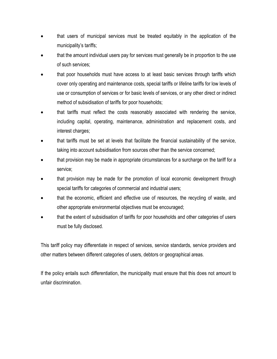- that users of municipal services must be treated equitably in the application of the municipality's tariffs;
- that the amount individual users pay for services must generally be in proportion to the use of such services;
- that poor households must have access to at least basic services through tariffs which cover only operating and maintenance costs, special tariffs or lifeline tariffs for low levels of use or consumption of services or for basic levels of services, or any other direct or indirect method of subsidisation of tariffs for poor households;
- that tariffs must reflect the costs reasonably associated with rendering the service, including capital, operating, maintenance, administration and replacement costs, and interest charges;
- that tariffs must be set at levels that facilitate the financial sustainability of the service, taking into account subsidisation from sources other than the service concerned;
- that provision may be made in appropriate circumstances for a surcharge on the tariff for a service;
- that provision may be made for the promotion of local economic development through special tariffs for categories of commercial and industrial users;
- that the economic, efficient and effective use of resources, the recycling of waste, and other appropriate environmental objectives must be encouraged;
- that the extent of subsidisation of tariffs for poor households and other categories of users must be fully disclosed.

This tariff policy may differentiate in respect of services, service standards, service providers and other matters between different categories of users, debtors or geographical areas.

If the policy entails such differentiation, the municipality must ensure that this does not amount to unfair discrimination.